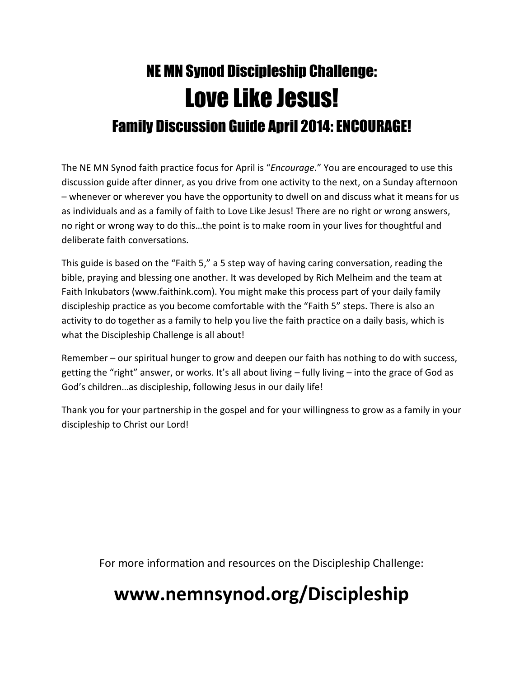# NE MN Synod Discipleship Challenge: Love Like Jesus! Family Discussion Guide April 2014: ENCOURAGE!

The NE MN Synod faith practice focus for April is "*Encourage*." You are encouraged to use this discussion guide after dinner, as you drive from one activity to the next, on a Sunday afternoon – whenever or wherever you have the opportunity to dwell on and discuss what it means for us as individuals and as a family of faith to Love Like Jesus! There are no right or wrong answers, no right or wrong way to do this…the point is to make room in your lives for thoughtful and deliberate faith conversations.

This guide is based on the "Faith 5," a 5 step way of having caring conversation, reading the bible, praying and blessing one another. It was developed by Rich Melheim and the team at Faith Inkubators (www.faithink.com). You might make this process part of your daily family discipleship practice as you become comfortable with the "Faith 5" steps. There is also an activity to do together as a family to help you live the faith practice on a daily basis, which is what the Discipleship Challenge is all about!

Remember – our spiritual hunger to grow and deepen our faith has nothing to do with success, getting the "right" answer, or works. It's all about living – fully living – into the grace of God as God's children…as discipleship, following Jesus in our daily life!

Thank you for your partnership in the gospel and for your willingness to grow as a family in your discipleship to Christ our Lord!

For more information and resources on the Discipleship Challenge:

## **www.nemnsynod.org/Discipleship**